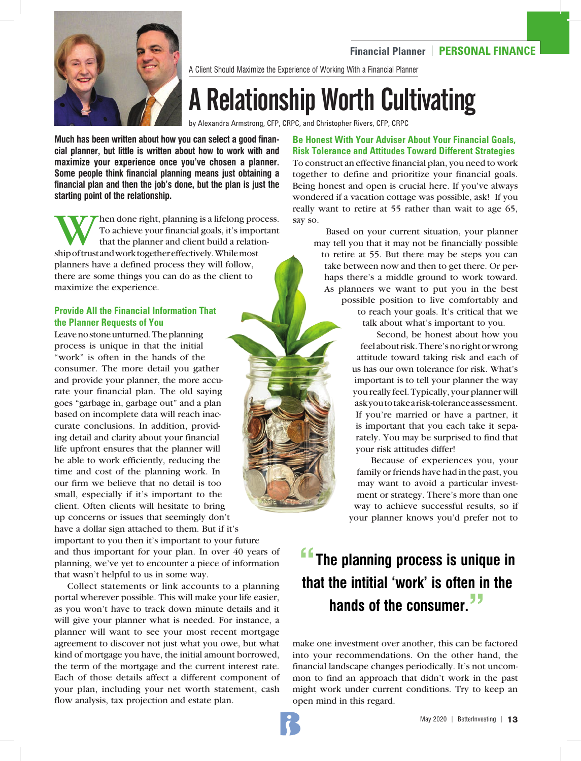# **Financial Planner** | **PERSONAL FINANCE**



A Client Should Maximize the Experience of Working With a Financial Planner

# A Relationship Worth Cultivating

by Alexandra Armstrong, CFP, CRPC, and Christopher Rivers, CFP, CRPC

**Much has been written about how you can select a good financial planner, but little is written about how to work with and maximize your experience once you've chosen a planner. Some people think financial planning means just obtaining a financial plan and then the job's done, but the plan is just the starting point of the relationship.**

When done right, planning is a lifelong process.<br>To achieve your financial goals, it's important<br>that the planner and client build a relation-<br>ship of trust and work together effectively. While most To achieve your financial goals, it's important that the planner and client build a relationship of trust and work together effectively. While most planners have a defined process they will follow, there are some things you can do as the client to maximize the experience.

# **Provide All the Financial Information That the Planner Requests of You**

Leave no stone unturned. The planning process is unique in that the initial "work" is often in the hands of the consumer. The more detail you gather and provide your planner, the more accurate your financial plan. The old saying goes "garbage in, garbage out" and a plan based on incomplete data will reach inaccurate conclusions. In addition, providing detail and clarity about your financial life upfront ensures that the planner will be able to work efficiently, reducing the time and cost of the planning work. In our firm we believe that no detail is too small, especially if it's important to the client. Often clients will hesitate to bring up concerns or issues that seemingly don't have a dollar sign attached to them. But if it's important to you then it's important to your future

and thus important for your plan. In over 40 years of planning, we've yet to encounter a piece of information that wasn't helpful to us in some way.

Collect statements or link accounts to a planning portal wherever possible. This will make your life easier, as you won't have to track down minute details and it will give your planner what is needed. For instance, a planner will want to see your most recent mortgage agreement to discover not just what you owe, but what kind of mortgage you have, the initial amount borrowed, the term of the mortgage and the current interest rate. Each of those details affect a different component of your plan, including your net worth statement, cash flow analysis, tax projection and estate plan.

**Be Honest With Your Adviser About Your Financial Goals, Risk Tolerance and Attitudes Toward Different Strategies** To construct an effective financial plan, you need to work together to define and prioritize your financial goals. Being honest and open is crucial here. If you've always wondered if a vacation cottage was possible, ask! If you really want to retire at 55 rather than wait to age 65, say so.

 Based on your current situation, your planner may tell you that it may not be financially possible to retire at 55. But there may be steps you can take between now and then to get there. Or perhaps there's a middle ground to work toward. As planners we want to put you in the best possible position to live comfortably and to reach your goals. It's critical that we talk about what's important to you.

 Second, be honest about how you feel about risk. There's no right or wrong attitude toward taking risk and each of us has our own tolerance for risk. What's important is to tell your planner the way you really feel. Typically, your planner will ask you to take a risk-tolerance assessment. If you're married or have a partner, it is important that you each take it separately. You may be surprised to find that your risk attitudes differ!

 Because of experiences you, your family or friends have had in the past, you may want to avoid a particular investment or strategy. There's more than one way to achieve successful results, so if your planner knows you'd prefer not to

# **"The planning process is unique in that the intitial 'work' is often in the hands of the consumer."**

make one investment over another, this can be factored into your recommendations. On the other hand, the financial landscape changes periodically. It's not uncommon to find an approach that didn't work in the past might work under current conditions. Try to keep an open mind in this regard.